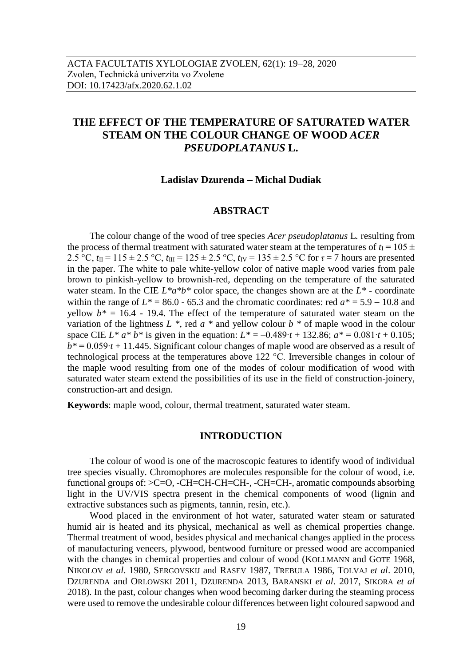# **THE EFFECT OF THE TEMPERATURE OF SATURATED WATER STEAM ON THE COLOUR CHANGE OF WOOD** *ACER PSEUDOPLATANUS* **L.**

### **Ladislav Dzurenda Michal Dudiak**

### **ABSTRACT**

The colour change of the wood of tree species *Acer pseudoplatanus* L*.* resulting from the process of thermal treatment with saturated water steam at the temperatures of  $t_1 = 105 \pm 100$ 2.5 °C,  $t_{II} = 115 \pm 2.5$  °C,  $t_{III} = 125 \pm 2.5$  °C,  $t_{IV} = 135 \pm 2.5$  °C for  $\tau = 7$  hours are presented in the paper. The white to pale white-yellow color of native maple wood varies from pale brown to pinkish-yellow to brownish-red, depending on the temperature of the saturated water steam. In the CIE  $L^* a^* b^*$  color space, the changes shown are at the  $L^*$  - coordinate within the range of  $L^* = 86.0 - 65.3$  and the chromatic coordinates: red  $a^* = 5.9 - 10.8$  and yellow  $b^* = 16.4$  - 19.4. The effect of the temperature of saturated water steam on the variation of the lightness *L \**, red *a \** and yellow colour *b \** of maple wood in the colour space CIE  $L^* a^* b^*$  is given in the equation:  $L^* = -0.489 \cdot t + 132.86$ ;  $a^* = 0.081 \cdot t + 0.105$ ; *b\** = 0.059∙*t* + 11.445. Significant colour changes of maple wood are observed as a result of technological process at the temperatures above 122 °C. Irreversible changes in colour of the maple wood resulting from one of the modes of colour modification of wood with saturated water steam extend the possibilities of its use in the field of construction-joinery, construction-art and design.

**Keywords**: maple wood, colour, thermal treatment, saturated water steam.

### **INTRODUCTION**

The colour of wood is one of the macroscopic features to identify wood of individual tree species visually. Chromophores are molecules responsible for the colour of wood, i.e. functional groups of: >C=O, -CH=CH-CH=CH-, -CH=CH-, aromatic compounds absorbing light in the UV/VIS spectra present in the chemical components of wood (lignin and extractive substances such as pigments, tannin, resin, etc.).

Wood placed in the environment of hot water, saturated water steam or saturated humid air is heated and its physical, mechanical as well as chemical properties change. Thermal treatment of wood, besides physical and mechanical changes applied in the process of manufacturing veneers, plywood, bentwood furniture or pressed wood are accompanied with the changes in chemical properties and colour of wood (KOLLMANN and GOTE 1968, NIKOLOV *et al*. 1980, SERGOVSKIJ and RASEV 1987, TREBULA 1986, TOLVAJ *et al*. 2010, DZURENDA and ORLOWSKI 2011, DZURENDA 2013, BARANSKI *et al*. 2017, SIKORA *et al* 2018). In the past, colour changes when wood becoming darker during the steaming process were used to remove the undesirable colour differences between light coloured sapwood and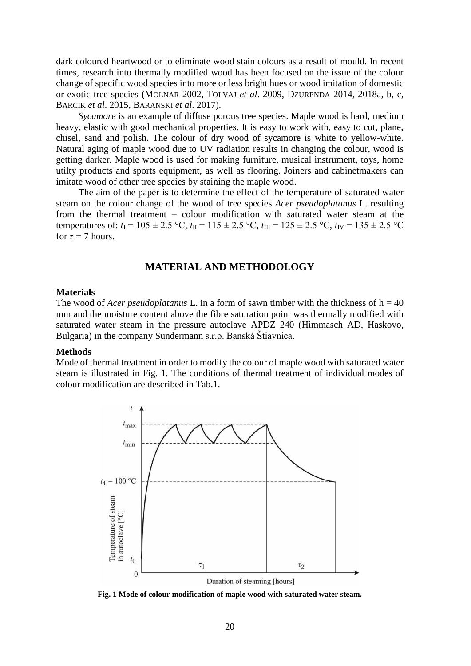dark coloured heartwood or to eliminate wood stain colours as a result of mould. In recent times, research into thermally modified wood has been focused on the issue of the colour change of specific wood species into more or less bright hues or wood imitation of domestic or exotic tree species (MOLNAR 2002, TOLVAJ *et al*. 2009, DZURENDA 2014, 2018a, b, c, BARCIK *et al*. 2015, BARANSKI *et al*. 2017).

*Sycamore* is an example of diffuse porous tree species. Maple wood is hard, medium heavy, elastic with good mechanical properties. It is easy to work with, easy to cut, plane, chisel, sand and polish. The colour of dry wood of sycamore is white to yellow-white. Natural aging of maple wood due to UV radiation results in changing the colour, wood is getting darker. Maple wood is used for making furniture, musical instrument, toys, home utilty products and sports equipment, as well as flooring. Joiners and cabinetmakers can imitate wood of other tree species by staining the maple wood.

The aim of the paper is to determine the effect of the temperature of saturated water steam on the colour change of the wood of tree species *Acer pseudoplatanus* L. resulting from the thermal treatment – colour modification with saturated water steam at the temperatures of:  $t_I = 105 \pm 2.5$  °C,  $t_{II} = 115 \pm 2.5$  °C,  $t_{III} = 125 \pm 2.5$  °C,  $t_{IV} = 135 \pm 2.5$  °C for  $\tau = 7$  hours.

# **MATERIAL AND METHODOLOGY**

### **Materials**

The wood of *Acer pseudoplatanus* L. in a form of sawn timber with the thickness of  $h = 40$ mm and the moisture content above the fibre saturation point was thermally modified with saturated water steam in the pressure autoclave APDZ 240 (Himmasch AD, Haskovo, Bulgaria) in the company Sundermann s.r.o. Banská Štiavnica.

#### **Methods**

Mode of thermal treatment in order to modify the colour of maple wood with saturated water steam is illustrated in Fig. 1. The conditions of thermal treatment of individual modes of colour modification are described in Tab.1.



**Fig. 1 Mode of colour modification of maple wood with saturated water steam.**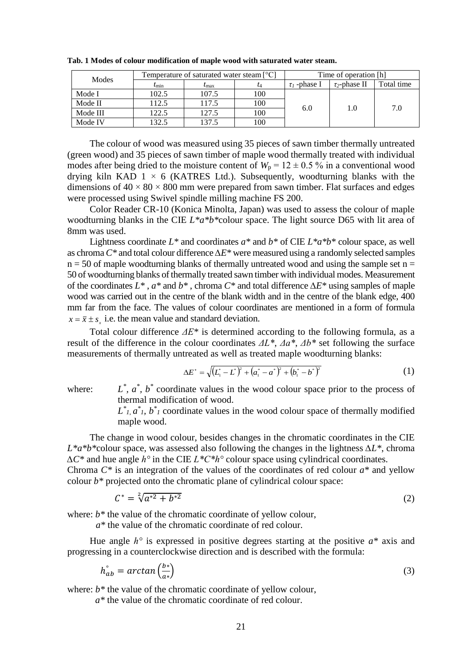| Modes    | Temperature of saturated water steam [°C] |                |           | Time of operation [h] |                    |            |
|----------|-------------------------------------------|----------------|-----------|-----------------------|--------------------|------------|
|          | $t_{\rm min}$                             | $\iota_{\max}$ | $\iota_4$ | $\tau_1$ -phase I     | $\tau_2$ -phase II | Total time |
| Mode I   | 102.5                                     | 107.5          | 100       | 6.0                   | 1.0                | 7.0        |
| Mode II  | 112.5                                     | 117.5          | 100       |                       |                    |            |
| Mode III | 122.5                                     | 127.5          | 100       |                       |                    |            |
| Mode IV  | 132.5                                     | 137.5          | 100       |                       |                    |            |

**Tab. 1 Modes of colour modification of maple wood with saturated water steam.**

The colour of wood was measured using 35 pieces of sawn timber thermally untreated (green wood) and 35 pieces of sawn timber of maple wood thermally treated with individual modes after being dried to the moisture content of  $W_p = 12 \pm 0.5$  % in a conventional wood drying kiln KAD  $1 \times 6$  (KATRES Ltd.). Subsequently, woodturning blanks with the dimensions of  $40 \times 80 \times 800$  mm were prepared from sawn timber. Flat surfaces and edges were processed using Swivel spindle milling machine FS 200.

Color Reader CR-10 (Konica Minolta, Japan) was used to assess the colour of maple woodturning blanks in the CIE *L\*a\*b\**colour space. The light source D65 with lit area of 8mm was used.

Lightness coordinate *L\** and coordinates *a\** and *b\** of CIE *L\*a\*b\** colour space, as well as chroma*C\** and total colour difference *∆E\** were measured using a randomly selected samples  $n = 50$  of maple woodturning blanks of thermally untreated wood and using the sample set  $n =$ 50 of woodturning blanks of thermally treated sawn timber with individual modes. Measurement of the coordinates *L\** , *a\** and *b\** , chroma *C\** and total difference *∆E\** using samples of maple wood was carried out in the centre of the blank width and in the centre of the blank edge, 400 mm far from the face. The values of colour coordinates are mentioned in a form of formula  $x = \bar{x} \pm s_x$  i.e. the mean value and standard deviation.

Total colour difference *ΔE\** is determined according to the following formula, as a result of the difference in the colour coordinates *ΔL\**, *Δa\**, *Δb\** set following the surface measurements of thermally untreated as well as treated maple woodturning blanks:

$$
\Delta E^* = \sqrt{\left(L_1^* - L^*\right)^2 + \left(a_1^* - a^*\right)^2 + \left(b_1^* - b^*\right)^2} \tag{1}
$$

where:

*\* , a\* , b\** coordinate values in the wood colour space prior to the process of thermal modification of wood.

 $L^*$ <sub>*l*</sub>,  $a^*$ <sub>*l*</sub>,  $b^*$ <sub>*l*</sub> coordinate values in the wood colour space of thermally modified maple wood.

The change in wood colour, besides changes in the chromatic coordinates in the CIE *L\*a\*b\**colour space, was assessed also following the changes in the lightness *∆L\**, chroma *∆C\** and hue angle *h°* in the CIE *L\*C\*h°* colour space using cylindrical coordinates.

Chroma *C\** is an integration of the values of the coordinates of red colour *a\** and yellow colour  $b^*$  projected onto the chromatic plane of cylindrical colour space:

$$
C^* = \sqrt[2]{a^{*2} + b^{*2}}
$$
 (2)

where:  $b^*$  the value of the chromatic coordinate of yellow colour,

*a\** the value of the chromatic coordinate of red colour.

Hue angle *h°* is expressed in positive degrees starting at the positive *a\** axis and progressing in a counterclockwise direction and is described with the formula:

$$
h_{ab}^{\circ} = \arctan\left(\frac{b^*}{a^*}\right) \tag{3}
$$

where:  $b^*$  the value of the chromatic coordinate of yellow colour,

*a\** the value of the chromatic coordinate of red colour.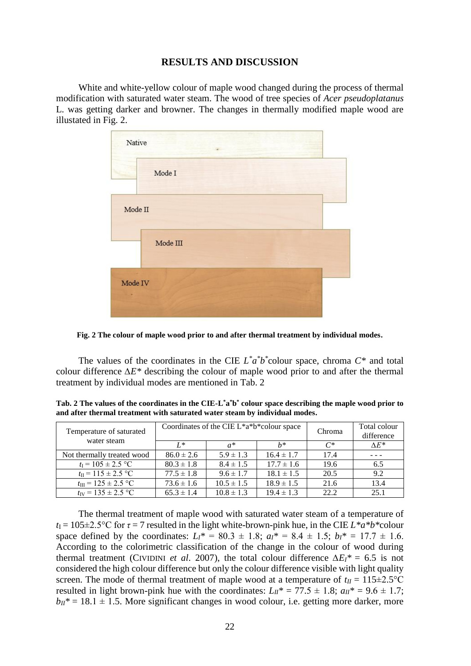# **RESULTS AND DISCUSSION**

White and white-yellow colour of maple wood changed during the process of thermal modification with saturated water steam. The wood of tree species of *Acer pseudoplatanus*  L. was getting darker and browner. The changes in thermally modified maple wood are illustated in Fig. 2.



**Fig. 2 The colour of maple wood prior to and after thermal treatment by individual modes.**

The values of the coordinates in the CIE  $L^* a^* b^*$  colour space, chroma  $C^*$  and total colour difference *∆E\** describing the colour of maple wood prior to and after the thermal treatment by individual modes are mentioned in Tab. 2

**Tab. 2 The values of the coordinates in the CIE-L \*a \*b \* colour space describing the maple wood prior to and after thermal treatment with saturated water steam by individual modes.** 

| Temperature of saturated<br>water steam |                | Coordinates of the CIE L*a*b*colour space | Chroma         | Total colour<br>difference |               |
|-----------------------------------------|----------------|-------------------------------------------|----------------|----------------------------|---------------|
|                                         | $I^*$          | $a^*$                                     | $h*$           | $C^*$                      | $\Lambda E^*$ |
| Not thermally treated wood              | $86.0 \pm 2.6$ | $5.9 \pm 1.3$                             | $16.4 \pm 1.7$ | 17.4                       |               |
| $t_1 = 105 \pm 2.5$ °C                  | $80.3 \pm 1.8$ | $8.4 \pm 1.5$                             | $17.7 \pm 1.6$ | 19.6                       | 6.5           |
| $t_{\rm II} = 115 \pm 2.5$ °C           | $77.5 \pm 1.8$ | $9.6 \pm 1.7$                             | $18.1 \pm 1.5$ | 20.5                       | 9.2           |
| $t_{\text{III}} = 125 \pm 2.5$ °C       | $73.6 \pm 1.6$ | $10.5 \pm 1.5$                            | $18.9 \pm 1.5$ | 21.6                       | 13.4          |
| $t_{\rm IV} = 135 \pm 2.5$ °C           | $65.3 \pm 1.4$ | $10.8 \pm 1.3$                            | $19.4 \pm 1.3$ | 22.2                       | 25.1          |

The thermal treatment of maple wood with saturated water steam of a temperature of  $t_I = 105 \pm 2.5$ °C for  $\tau = 7$  resulted in the light white-brown-pink hue, in the CIE  $L^* a^* b^*$ colour space defined by the coordinates:  $L_I^* = 80.3 \pm 1.8$ ;  $a_I^* = 8.4 \pm 1.5$ ;  $b_I^* = 17.7 \pm 1.6$ . According to the colorimetric classification of the change in the colour of wood during thermal treatment (CIVIDINI *et al.* 2007), the total colour difference  $\Delta E_I^* = 6.5$  is not considered the high colour difference but only the colour difference visible with light quality screen. The mode of thermal treatment of maple wood at a temperature of  $t_{II} = 115 \pm 2.5$ °C resulted in light brown-pink hue with the coordinates:  $L_{II}^* = 77.5 \pm 1.8$ ;  $a_{II}^* = 9.6 \pm 1.7$ ;  $b_{II}^* = 18.1 \pm 1.5$ . More significant changes in wood colour, i.e. getting more darker, more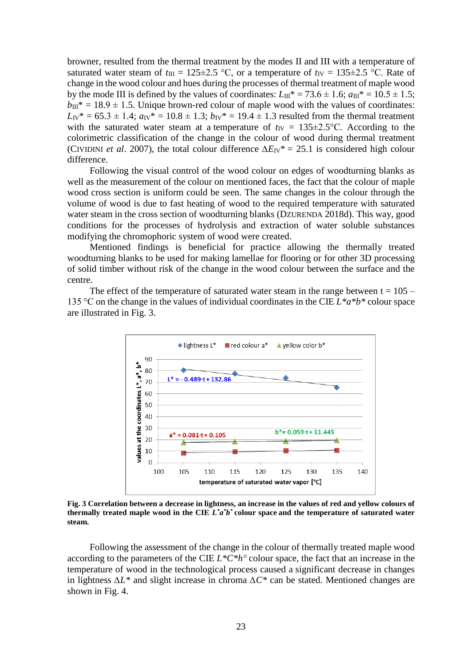browner, resulted from the thermal treatment by the modes II and III with a temperature of saturated water steam of  $t_{III} = 125 \pm 2.5$  °C, or a temperature of  $t_{IV} = 135 \pm 2.5$  °C. Rate of change in the wood colour and hues during the processes of thermal treatment of maple wood by the mode III is defined by the values of coordinates:  $L_{III}^* = 73.6 \pm 1.6$ ;  $a_{III}^* = 10.5 \pm 1.5$ ;  $b_{III}^* = 18.9 \pm 1.5$ . Unique brown-red colour of maple wood with the values of coordinates:  $L_V^* = 65.3 \pm 1.4$ ;  $a_V^* = 10.8 \pm 1.3$ ;  $b_V^* = 19.4 \pm 1.3$  resulted from the thermal treatment with the saturated water steam at a temperature of  $t_{IV} = 135 \pm 2.5$ °C. According to the colorimetric classification of the change in the colour of wood during thermal treatment (CIVIDINI *et al*. 2007), the total colour difference *∆E*IV\* = 25.1 is considered high colour difference.

Following the visual control of the wood colour on edges of woodturning blanks as well as the measurement of the colour on mentioned faces, the fact that the colour of maple wood cross section is uniform could be seen. The same changes in the colour through the volume of wood is due to fast heating of wood to the required temperature with saturated water steam in the cross section of woodturning blanks (DZURENDA 2018d). This way, good conditions for the processes of hydrolysis and extraction of water soluble substances modifying the chromophoric system of wood were created.

Mentioned findings is beneficial for practice allowing the thermally treated woodturning blanks to be used for making lamellae for flooring or for other 3D processing of solid timber without risk of the change in the wood colour between the surface and the centre.

The effect of the temperature of saturated water steam in the range between  $t = 105 -$ 135 °C on the change in the values of individual coordinates in the CIE *L\*a\*b\** colour space are illustrated in Fig. 3.



**Fig. 3 Correlation between a decrease in lightness, an increase in the values of red and yellow colours of thermally treated maple wood in the CIE** *L \*a \*b \** **colour space and the temperature of saturated water steam.**

Following the assessment of the change in the colour of thermally treated maple wood according to the parameters of the CIE *L\*C\*h°* colour space, the fact that an increase in the temperature of wood in the technological process caused a significant decrease in changes in lightness *∆L\** and slight increase in chroma *∆C\** can be stated. Mentioned changes are shown in Fig. 4.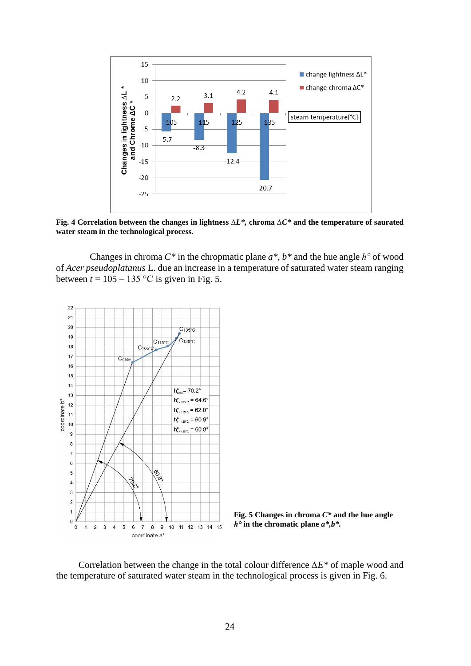

**Fig. 4 Correlation between the changes in lightness** *∆L\*,* **chroma** *∆C\** **and the temperature of saurated water steam in the technological process.** 

Changes in chroma *C\** in the chropmatic plane *a\*, b\** and the hue angle *h°* of wood of *Acer pseudoplatanus* L. due an increase in a temperature of saturated water steam ranging between  $t = 105 - 135$  °C is given in Fig. 5.





Correlation between the change in the total colour difference *∆E\** of maple wood and the temperature of saturated water steam in the technological process is given in Fig. 6.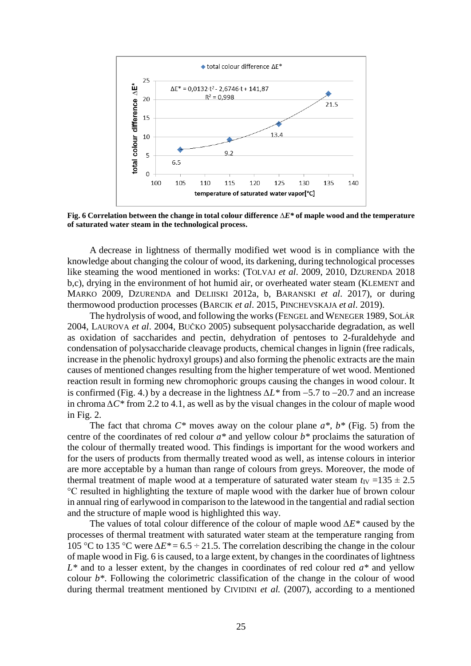

**Fig. 6 Correlation between the change in total colour difference** *∆E\** **of maple wood and the temperature of saturated water steam in the technological process.**

A decrease in lightness of thermally modified wet wood is in compliance with the knowledge about changing the colour of wood, its darkening, during technological processes like steaming the wood mentioned in works: (TOLVAJ *et al.* 2009, 2010, DZURENDA 2018 b,c), drying in the environment of hot humid air, or overheated water steam (KLEMENT and MARKO 2009, DZURENDA and DELIISKI 2012a, b, BARANSKI *et al*. 2017), or during thermowood production processes (BARCIK *et al*. 2015, PINCHEVSKAJA *et al*. 2019).

The hydrolysis of wood, and following the works (FENGEL and WENEGER 1989, SOLÁR 2004, LAUROVA *et al*. 2004, BUČKO 2005) subsequent polysaccharide degradation, as well as oxidation of saccharides and pectin, dehydration of pentoses to 2-furaldehyde and condensation of polysaccharide cleavage products, chemical changes in lignin (free radicals, increase in the phenolic hydroxyl groups) and also forming the phenolic extracts are the main causes of mentioned changes resulting from the higher temperature of wet wood. Mentioned reaction result in forming new chromophoric groups causing the changes in wood colour. It is confirmed (Fig. 4.) by a decrease in the lightness  $ΔL*$  from -5.7 to -20.7 and an increase in chroma *∆C\** from 2.2 to 4.1, as well as by the visual changes in the colour of maple wood in Fig. 2.

The fact that chroma *C\** moves away on the colour plane *a\*, b\** (Fig. 5) from the centre of the coordinates of red colour *a\** and yellow colour *b\** proclaims the saturation of the colour of thermally treated wood. This findings is important for the wood workers and for the users of products from thermally treated wood as well, as intense colours in interior are more acceptable by a human than range of colours from greys. Moreover, the mode of thermal treatment of maple wood at a temperature of saturated water steam  $t_{IV} = 135 \pm 2.5$ °C resulted in highlighting the texture of maple wood with the darker hue of brown colour in annual ring of earlywood in comparison to the latewood in the tangential and radial section and the structure of maple wood is highlighted this way.

The values of total colour difference of the colour of maple wood *∆E\** caused by the processes of thermal treatment with saturated water steam at the temperature ranging from 105 °C to 135 °C were *∆E\** = 6.5 ÷ 21.5. The correlation describing the change in the colour of maple wood in Fig. 6 is caused, to a large extent, by changes in the coordinates of lightness *L\** and to a lesser extent, by the changes in coordinates of red colour red *a\** and yellow colour *b\**. Following the colorimetric classification of the change in the colour of wood during thermal treatment mentioned by CIVIDINI *et al.* (2007), according to a mentioned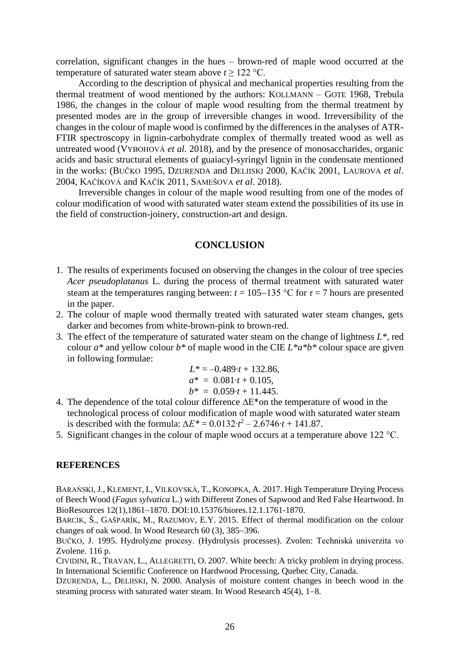correlation, significant changes in the hues – brown-red of maple wood occurred at the temperature of saturated water steam above  $t \geq 122$  °C.

According to the description of physical and mechanical properties resulting from the thermal treatment of wood mentioned by the authors: KOLLMANN – GOTE 1968, Trebula 1986, the changes in the colour of maple wood resulting from the thermal treatment by presented modes are in the group of irreversible changes in wood. Irreversibility of the changes in the colour of maple wood is confirmed by the differences in the analyses of ATR-FTIR spectroscopy in lignin-carbohydrate complex of thermally treated wood as well as untreated wood (VYBOHOVÁ *et al*. 2018), and by the presence of monosaccharides, organic acids and basic structural elements of guaiacyl-syringyl lignin in the condensate mentioned in the works: (BUČKO 1995, DZURENDA and DELIISKI 2000, KAČÍK 2001, LAUROVA *et al*. 2004, KAČÍKOVÁ and KAČÍK 2011, SAMEŠOVA *et al*. 2018).

Irreversible changes in colour of the maple wood resulting from one of the modes of colour modification of wood with saturated water steam extend the possibilities of its use in the field of construction-joinery, construction-art and design.

## **CONCLUSION**

- 1. The results of experiments focused on observing the changes in the colour of tree species *Acer pseudoplatanus* L. during the process of thermal treatment with saturated water steam at the temperatures ranging between:  $t = 105-135$  °C for  $\tau = 7$  hours are presented in the paper.
- 2. The colour of maple wood thermally treated with saturated water steam changes, gets darker and becomes from white-brown-pink to brown-red.
- 3. The effect of the temperature of saturated water steam on the change of lightness *L\**, red colour *a\** and yellow colour *b\** of maple wood in the CIE *L\*a\*b\** colour space are given in following formulae:

$$
L^* = -0.489 \cdot t + 132.86,
$$
  
\n
$$
a^* = 0.081 \cdot t + 0.105,
$$
  
\n
$$
b^* = 0.059 \cdot t + 11.445.
$$

- 4. The dependence of the total colour difference ∆E\*on the temperature of wood in the technological process of colour modification of maple wood with saturated water steam is described with the formula:  $\Delta E^* = 0.0132 \cdot t^2 - 2.6746 \cdot t + 141.87$ .
- 5. Significant changes in the colour of maple wood occurs at a temperature above 122 °C.

# **REFERENCES**

BARAŃSKI, J., KLEMENT, I., VILKOVSKÁ, T., KONOPKA, A. 2017. High Temperature Drying Process of Beech Wood (*Fagus sylvatica* L.) with Different Zones of Sapwood and Red False Heartwood. In BioResources 12(1),1861-1870. DOI:10.15376/biores.12.1.1761-1870.

BARCIK, Š., GAŠPARÍK, M., RAZUMOV, E.Y. 2015. Effect of thermal modification on the colour changes of oak wood. In Wood Research  $60(3)$ ,  $385-396$ .

BUČKO, J. 1995. Hydrolýzne procesy. (Hydrolysis processes). Zvolen: Techniská univerzita vo Zvolene. 116 p.

CIVIDINI, R., TRAVAN, L., ALLEGRETTI, O. 2007. White beech: A tricky problem in drying process. In International Scientific Conference on Hardwood Processing, Quebec City, Canada.

DZURENDA, L., DELIISKI, N. 2000. Analysis of moisture content changes in beech wood in the steaming process with saturated water steam. In Wood Research  $45(4)$ ,  $1-8$ .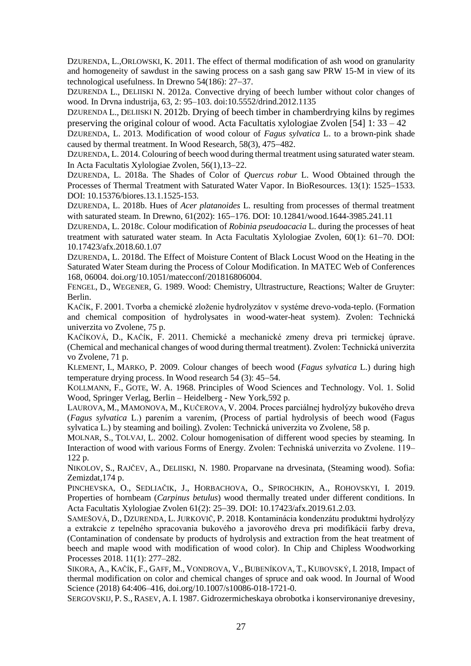DZURENDA, L.,ORLOWSKI, K. 2011. The effect of thermal modification of ash wood on granularity and homogeneity of sawdust in the sawing process on a sash gang saw PRW 15-M in view of its technological usefulness. In Drewno  $54(186)$ :  $27-37$ .

DZURENDA L., DELIISKI N. 2012a. Convective drying of beech lumber without color changes of wood. In Drvna industrija, 63, 2: 95–103. doi:10.5552/drind.2012.1135

DZURENDA L., DELIISKI N. 2012b. Drying of beech timber in chamberdrying kilns by regimes preserving the original colour of wood. Acta Facultatis xylologiae Zvolen [54] 1: 33 – 42

DZURENDA, L. 2013. Modification of wood colour of *Fagus sylvatica* L. to a brown-pink shade caused by thermal treatment. In Wood Research,  $58(3)$ ,  $475-482$ .

DZURENDA, L. 2014. Colouring of beech wood during thermal treatment using saturated water steam. In Acta Facultatis Xylologiae Zvolen,  $56(1)$ ,  $13-22$ .

DZURENDA, L. 2018a. The Shades of Color of *Quercus robur* L. Wood Obtained through the Processes of Thermal Treatment with Saturated Water Vapor. In BioResources. 13(1): 1525–1533. DOI: 10.15376/biores.13.1.1525-153.

DZURENDA, L. 2018b. Hues of *Acer platanoides* L. resulting from processes of thermal treatment with saturated steam. In Drewno, 61(202): 165-176. DOI: 10.12841/wood.1644-3985.241.11

DZURENDA, L. 2018c. Colour modification of *Robinia pseudoacacia* L. during the processes of heat treatment with saturated water steam. In Acta Facultatis Xylologiae Zvolen, 60(1): 61-70. DOI: 10.17423/afx.2018.60.1.07

DZURENDA, L. 2018d. The Effect of Moisture Content of Black Locust Wood on the Heating in the Saturated Water Steam during the Process of Colour Modification. In MATEC Web of Conferences 168, 06004. [doi.org/10.1051/matecconf/201816806004.](https://doi.org/10.1051/matecconf/201816806004)

FENGEL, D., WEGENER, G. 1989. Wood: Chemistry, Ultrastructure, Reactions; Walter de Gruyter: Berlin.

KAČÍK, F. 2001. Tvorba a chemické zloženie hydrolyzátov v systéme drevo-voda-teplo. (Formation and chemical composition of hydrolysates in wood-water-heat system). Zvolen: Technická univerzita vo Zvolene, 75 p.

KAČÍKOVÁ, D., KAČÍK, F. 2011. Chemické a mechanické zmeny dreva pri termickej úprave. (Chemical and mechanical changes of wood during thermal treatment). Zvolen: Technická univerzita vo Zvolene, 71 p.

KLEMENT, I., MARKO, P. 2009. Colour changes of beech wood (*Fagus sylvatica* L.) during high temperature drying process. In Wood research  $54$  (3):  $45-54$ .

KOLLMANN, F., GOTE, W. A. 1968. Principles of Wood Sciences and Technology. Vol. 1. Solid Wood, Springer Verlag, Berlin – Heidelberg - New York,592 p.

LAUROVA, M., MAMONOVA, M., KUČEROVA, V. 2004. Proces parciálnej hydrolýzy bukového dreva (*Fagus sylvatica* L.) parením a varením, (Process of partial hydrolysis of beech wood (Fagus sylvatica L.) by steaming and boiling). Zvolen: Technická univerzita vo Zvolene, 58 p.

MOLNAR, S., TOLVAJ, L. 2002. Colour homogenisation of different wood species by steaming. In Interaction of wood with various Forms of Energy. Zvolen: Techniská univerzita vo Zvolene. 119– 122 p.

NIKOLOV, S., RAJČEV, A., DELIISKI, N. 1980. Proparvane na drvesinata, (Steaming wood). Sofia: Zemizdat,174 p.

PINCHEVSKA, O., SEDLIAČIK, J., HORBACHOVA, O., SPIROCHKIN, A., ROHOVSKYI, I. 2019. Properties of hornbeam (*Carpinus betulus*) wood thermally treated under different conditions. In Acta Facultatis Xylologiae Zyolen 61(2): 25–39. DOI: 10.17423/afx.2019.61.2.03.

SAMEŠOVÁ, D., DZURENDA, L. JURKOVIČ, P. 2018. Kontaminácia kondenzátu produktmi hydrolýzy a extrakcie z tepelného spracovania bukového a javorového dreva pri modifikácii farby dreva, (Contamination of condensate by products of hydrolysis and extraction from the heat treatment of beech and maple wood with modification of wood color). In Chip and Chipless Woodworking Processes 2018. 11(1): 277–282.

SIKORA, A., KAČÍK, F., GAFF, M., VONDROVA, V., BUBENÍKOVA, T., KUBOVSKÝ, I. 2018, Impact of thermal modification on color and chemical changes of spruce and oak wood. In Journal of Wood Science (2018) 64:406–416, doi.org/10.1007/s10086-018-1721-0.

SERGOVSKIJ, P. S., RASEV, A. I. 1987. Gidrozermicheskaya obrobotka i konservironaniye drevesiny,